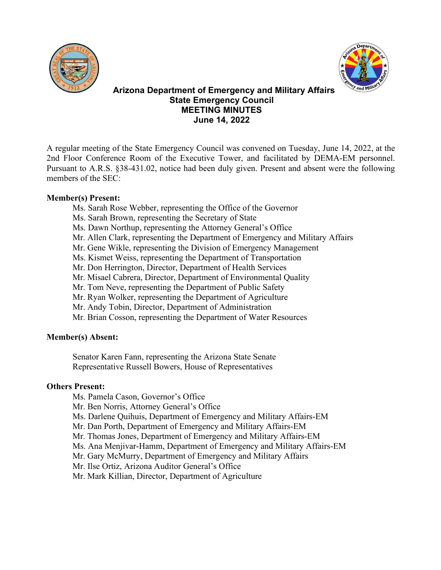



# **Arizona Department of Emergency and Military Affairs State Emergency Council MEETING MINUTES June 14, 2022**

A regular meeting of the State Emergency Council was convened on Tuesday, June 14, 2022, at the 2nd Floor Conference Room of the Executive Tower, and facilitated by DEMA-EM personnel. Pursuant to A.R.S. §38-431.02, notice had been duly given. Present and absent were the following members of the SEC:

# **Member(s) Present:**

- Ms. Sarah Rose Webber, representing the Office of the Governor
- Ms. Sarah Brown, representing the Secretary of State
- Ms. Dawn Northup, representing the Attorney General's Office
- Mr. Allen Clark, representing the Department of Emergency and Military Affairs
- Mr. Gene Wikle, representing the Division of Emergency Management
- Ms. Kismet Weiss, representing the Department of Transportation
- Mr. Don Herrington, Director, Department of Health Services
- Mr. Misael Cabrera, Director, Department of Environmental Quality
- Mr. Tom Neve, representing the Department of Public Safety
- Mr. Ryan Wolker, representing the Department of Agriculture
- Mr. Andy Tobin, Director, Department of Administration
- Mr. Brian Cosson, representing the Department of Water Resources

# **Member(s) Absent:**

Senator Karen Fann, representing the Arizona State Senate Representative Russell Bowers, House of Representatives

# **Others Present:**

- Ms. Pamela Cason, Governor's Office
- Mr. Ben Norris, Attorney General's Office
- Ms. Darlene Quihuis, Department of Emergency and Military Affairs-EM
- Mr. Dan Porth, Department of Emergency and Military Affairs-EM
- Mr. Thomas Jones, Department of Emergency and Military Affairs-EM
- Ms. Ana Menjivar-Hamm, Department of Emergency and Military Affairs-EM
- Mr. Gary McMurry, Department of Emergency and Military Affairs
- Mr. Ilse Ortiz, Arizona Auditor General's Office

Mr. Mark Killian, Director, Department of Agriculture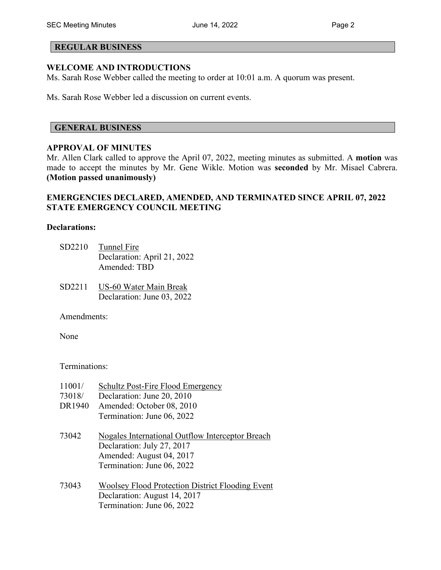### **REGULAR BUSINESS**

### **WELCOME AND INTRODUCTIONS**

Ms. Sarah Rose Webber called the meeting to order at 10:01 a.m. A quorum was present.

Ms. Sarah Rose Webber led a discussion on current events.

### **GENERAL BUSINESS**

#### **APPROVAL OF MINUTES**

Mr. Allen Clark called to approve the April 07, 2022, meeting minutes as submitted. A **motion** was made to accept the minutes by Mr. Gene Wikle. Motion was **seconded** by Mr. Misael Cabrera. **(Motion passed unanimously)** 

## **EMERGENCIES DECLARED, AMENDED, AND TERMINATED SINCE APRIL 07, 2022 STATE EMERGENCY COUNCIL MEETING**

#### **Declarations:**

- SD2210 Tunnel Fire Declaration: April 21, 2022 Amended: TBD
- SD2211 US-60 Water Main Break Declaration: June 03, 2022

Amendments:

None

Terminations:

| 11001/ | <b>Schultz Post-Fire Flood Emergency</b>                                                                                                 |
|--------|------------------------------------------------------------------------------------------------------------------------------------------|
| 73018/ | Declaration: June 20, 2010                                                                                                               |
| DR1940 | Amended: October 08, 2010                                                                                                                |
|        | Termination: June 06, 2022                                                                                                               |
| 73042  | Nogales International Outflow Interceptor Breach<br>Declaration: July 27, 2017<br>Amended: August 04, 2017<br>Termination: June 06, 2022 |
| 73043  | <b>Woolsey Flood Protection District Flooding Event</b><br>Declaration: August 14, 2017<br>Termination: June 06, 2022                    |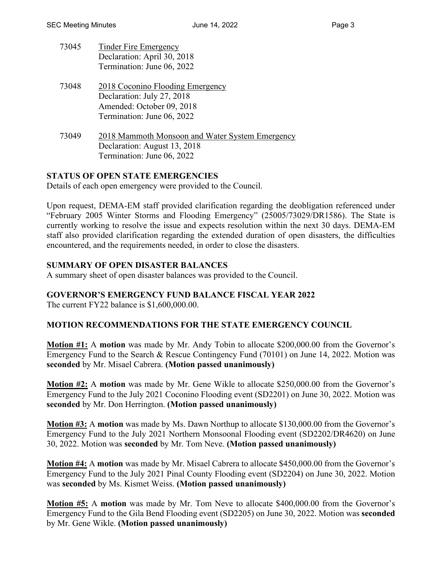- 73045 Tinder Fire Emergency Declaration: April 30, 2018 Termination: June 06, 2022
- 73048 2018 Coconino Flooding Emergency Declaration: July 27, 2018 Amended: October 09, 2018 Termination: June 06, 2022
- 73049 2018 Mammoth Monsoon and Water System Emergency Declaration: August 13, 2018 Termination: June 06, 2022

# **STATUS OF OPEN STATE EMERGENCIES**

Details of each open emergency were provided to the Council.

Upon request, DEMA-EM staff provided clarification regarding the deobligation referenced under "February 2005 Winter Storms and Flooding Emergency" (25005/73029/DR1586). The State is currently working to resolve the issue and expects resolution within the next 30 days. DEMA-EM staff also provided clarification regarding the extended duration of open disasters, the difficulties encountered, and the requirements needed, in order to close the disasters.

# **SUMMARY OF OPEN DISASTER BALANCES**

A summary sheet of open disaster balances was provided to the Council.

# **GOVERNOR'S EMERGENCY FUND BALANCE FISCAL YEAR 2022**

The current FY22 balance is \$1,600,000.00.

# **MOTION RECOMMENDATIONS FOR THE STATE EMERGENCY COUNCIL**

**Motion #1:** A **motion** was made by Mr. Andy Tobin to allocate \$200,000.00 from the Governor's Emergency Fund to the Search & Rescue Contingency Fund (70101) on June 14, 2022. Motion was **seconded** by Mr. Misael Cabrera. **(Motion passed unanimously)**

**Motion #2:** A **motion** was made by Mr. Gene Wikle to allocate \$250,000.00 from the Governor's Emergency Fund to the July 2021 Coconino Flooding event (SD2201) on June 30, 2022. Motion was **seconded** by Mr. Don Herrington. **(Motion passed unanimously)**

**Motion #3:** A **motion** was made by Ms. Dawn Northup to allocate \$130,000.00 from the Governor's Emergency Fund to the July 2021 Northern Monsoonal Flooding event (SD2202/DR4620) on June 30, 2022. Motion was **seconded** by Mr. Tom Neve. **(Motion passed unanimously)**

**Motion #4:** A **motion** was made by Mr. Misael Cabrera to allocate \$450,000.00 from the Governor's Emergency Fund to the July 2021 Pinal County Flooding event (SD2204) on June 30, 2022. Motion was **seconded** by Ms. Kismet Weiss. **(Motion passed unanimously)**

**Motion #5:** A **motion** was made by Mr. Tom Neve to allocate \$400,000.00 from the Governor's Emergency Fund to the Gila Bend Flooding event (SD2205) on June 30, 2022. Motion was **seconded** by Mr. Gene Wikle. **(Motion passed unanimously)**